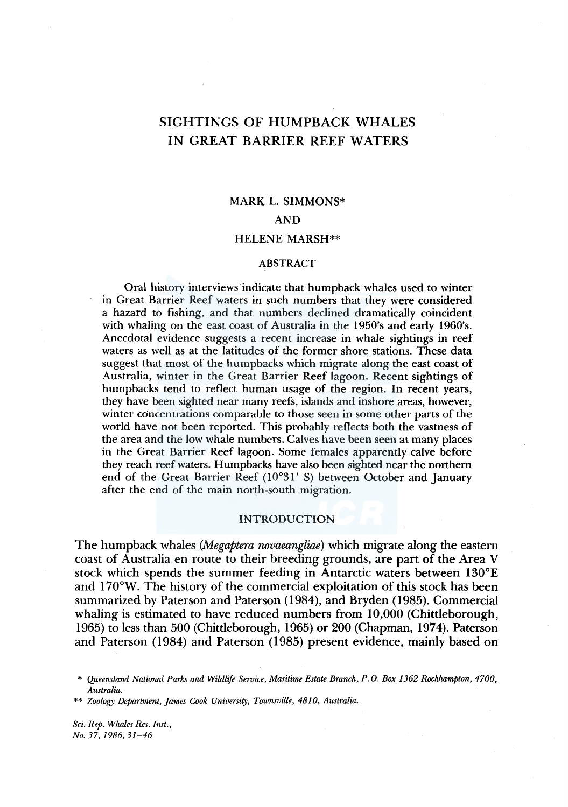# SIGHTINGS OF HUMPBACK WHALES IN GREAT BARRIER REEF WATERS

# MARK L. SIMMONS\* AND HELENE MARSH\*\*

#### ABSTRACT

Oral history interviews indicate that humpback whales used to winter in Great Barrier Reef waters in such numbers that they were considered a hazard to fishing, and that numbers declined dramatically coincident with whaling on the east coast of Australia in the 1950's and early 1960's. Anecdotal evidence suggests a recent increase in whale sightings in reef waters as well as at the latitudes of the former shore stations. These data suggest that most of the humpbacks which migrate along the east coast of Australia, winter in the Great Barrier Reef lagoon. Recent sightings of humpbacks tend to reflect human usage of the region. In recent years, they have been sighted near many reefs, islands and inshore areas, however, winter concentrations comparable to those seen in some other parts of the world have not been reported. This probably reflects both the vastness of the area and the low whale numbers. Calves have been seen at many places in the Great Barrier Reef lagoon. Some females apparently calve before they reach reef waters. Humpbacks have also been sighted near the northern end of the Great Barrier Reef (10°31' S) between October and January after the end of the main north-south migration.

### INTRODUCTION

The humpback whales *(Megaptera novaeangliae)* which migrate along the eastern coast of Australia en route to their breeding grounds, are part of the Area V stock which spends the summer feeding in Antarctic waters between 130°E and 170°W. The history of the commercial exploitation of this stock has been summarized by Paterson and Paterson (1984), and Bryden (1985). Commercial whaling is estimated to have reduced numbers from 10,000 (Chittleborough, 1965) to less than 500 (Chittleborough, 1965) or 200 (Chapman, 1974). Paterson and Paterson (1984) and Paterson (1985) present evidence, mainly based on

*Sci. Rep. Whales Res. Inst., No. 37, 1986, 31-46* 

<sup>\*</sup> *Queensland National Parks and Wildlife Service, Maritime Estate Branch, P.O. Box 1362 Rockhampton, 4700, Australia.* 

<sup>\*\*</sup> *Zoology Department, James Cook University, Townsville, 4810, Australia.*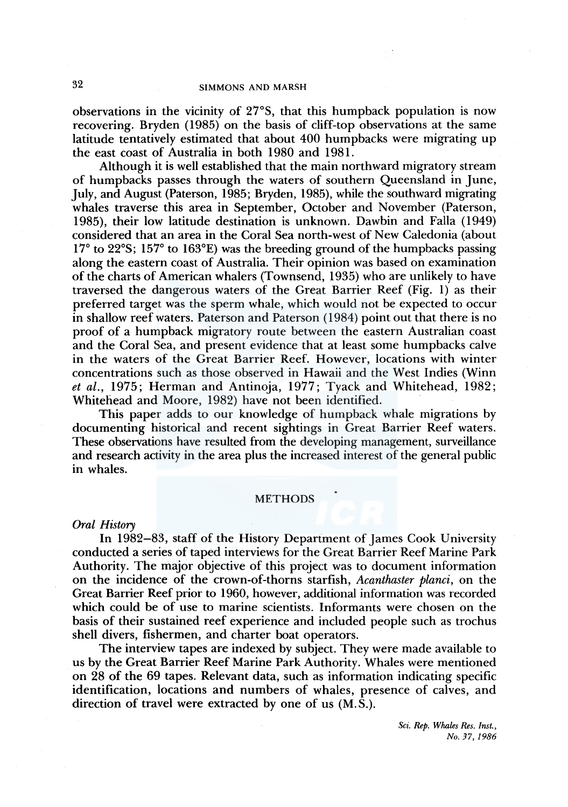observations in the vicinity of 27°S, that this humpback population is now recovering. Bryden (1985) on the basis of cliff-top observations at the same latitude tentatively estimated that about 400 humpbacks were migrating up the east coast of Australia in both 1980 and 1981.

Although it is well established that the main northward migratory stream of humpbacks passes through the waters of southern Queensland in June, July, and August (Paterson, 1985; Bryden, 1985), while the southward migrating whales traverse this area in September, October and November (Paterson, 1985), their low latitude destination is unknown. Dawbin and Falla ( 1949) considered that an area in the Coral Sea north-west of New Caledonia (about 17° to 22°S; 157° to 163°E) was the breeding ground of the humpbacks passing along the eastern coast of Australia. Their opinion was based on examination of the charts of American whalers (Townsend, 1935) who are unlikely to have traversed the dangerous waters of the Great Barrier Reef (Fig. 1) as their preferred target was the sperm whale, which would not be expected to occur in shallow reef waters. Paterson and Paterson (1984) point out that there is no proof of a humpback migratory route between the eastern Australian coast and the Coral Sea, and present evidence that at least some humpbacks calve in the waters of the Great Barrier Reef. However, locations with winter concentrations such as those observed in Hawaii and the West Indies (Winn *et al.,* 1975; Herman and Antinoja, 1977; Tyack and Whitehead, 1982; Whitehead and Moore, 1982) have not been identified.

This paper adds to our knowledge of humpback whale migrations by documenting historical and recent sightings in Great Barrier Reef waters. These observations have resulted from the developing management, surveillance and research activity in the area plus the increased interest of the general public in whales.

#### METHODS

#### *Oral History*

In 1982-83, staff of the History Department of James Cook University conducted a series of taped interviews for the Great Barrier Reef Marine Park Authority. The major objective of this project was to document information on the incidence of the crown-of-thorns starfish, *Acanthaster planci,* on the Great Barrier Reef prior to 1960, however, additional information was recorded which could be of use to marine scientists. Informants were chosen on the basis of their sustained reef experience and included people such as trochus shell divers, fishermen, and charter boat operators.

The interview tapes are indexed by subject. They were made available to us by the Great Barrier Reef Marine Park Authority. Whales were mentioned on 28 of the 69 tapes. Relevant data, such as information indicating specific identification, locations and numbers of whales, presence of calves, and direction of travel were extracted by one of us  $(M.\overline{S})$ .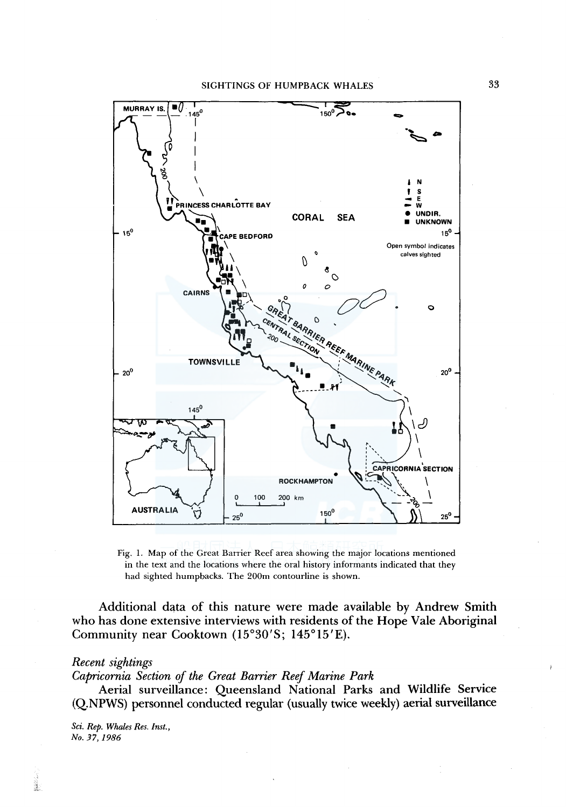

Fig. 1. Map of the Great Barrier Reef area showing the major locations mentioned in the text and the locations where the oral history informants indicated that they had sighted humpbacks. The 200m contourline is shown.

Additional data of this nature were made available by Andrew Smith who has done extensive interviews with residents of the Hope Vale Aboriginal Community near Cooktown (l5°30'S; 145°15'E).

#### *Recent sightings*

*Capricornia Section of the Great Barrier Reef Marine Park* 

Aerial surveillance: Queensland National Parks and Wildlife Service (Q.NPWS) personnel conducted regular (usually twice weekly) aerial surveillance

*Sci. Rep. Whales Res. Inst., No. 37, 1986* 

i.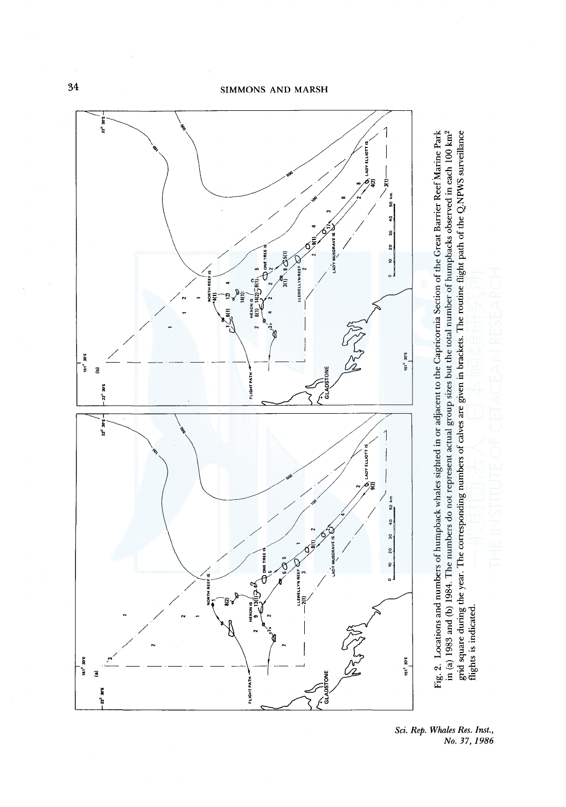

m (a) 1983 and (b) 1984. The numbers do not represent actual group sizes but the total number of humpbacks observed in each 100 km<sup>2</sup><br>grid square during the year. The corresponding numbers of calves are given in brackets. grid square during the year. The corresponding numbers of calves are given in brackets. The routine flight path of the Q.NPWS surveillance flights is indicated.

in (a) 1983 and (b) 1984. The numbers do not represent actual group sizes but the total number of humpbacks observed in each 100 km2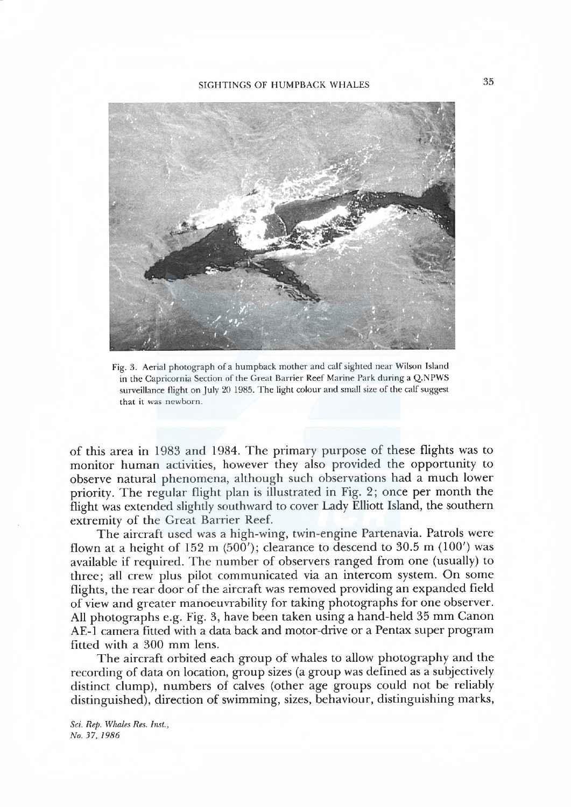

Fig. 3. Aerial photograph of a humpback mother and calf sighted near Wilson Island in the Capricornia Section of the Great Barrier Reef Marine Park during a Q.NPWS surveilance flight on July 20 1985. The light colour and small size of the calf suggest that it was newborn.

of this area in 1983 and 1984. The primary purpose of these flights was to monitor human activities, however they also provided the opportunity to observe natural phenomena, although such observations had a much lower priority. The regular flight plan is illustrated in Fig. 2; once per month the flight was extended slightly southward to cover Lady Elliott Island, the southern extremity of the Great Barrier Reef.

The aircraft used was a high-wing, twin-engine Partenavia. Patrols were flown at a height of 152 m  $(500')$ ; clearance to descend to 30.5 m  $(100')$  was available if required. The number of observers ranged from one (usually) to three; all crew plus pilot communicated via an intercom system. On some flights, the rear door of the aircraft was removed providing an expanded field of view and greater manoeuvrability for taking photographs for one observer. All photographs e.g. Fig. 3, have been taken using a hand-held 35 mm Canon AE-1 camera fitted with a data back and motor-drive or a Pentax super program fitted with a 300 mm lens.

The aircraft orbited each group of whales to allow photography and the recording of data on location, group sizes (a group was defined as a subjectively distinct clump), numbers of calves (other age groups could not be reliably distinguished), direction of swimming, sizes, behaviour, distinguishing marks,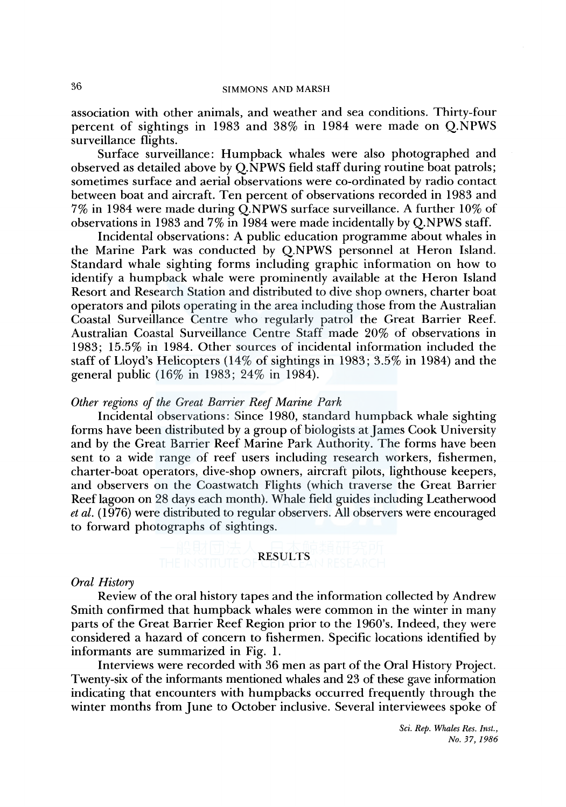association with other animals, and weather and sea conditions. Thirty-four percent of sightings in 1983 and 38% in 1984 were made on Q.NPWS surveillance flights.

Surface surveillance: Humpback whales were also photographed and observed as detailed above by Q.NPWS field staff during routine boat patrols; sometimes surface and aerial observations were co-ordinated by radio contact between boat and aircraft. Ten percent of observations recorded in 1983 and 7% in 1984 were made during Q.NPWS surface surveillance. A further 10% of observations in 1983 and 7% in 1984 were made incidentally by Q.NPWS staff.

Incidental observations: A public education programme about whales in the Marine Park was conducted by Q.NPWS personnel at Heron Island. Standard whale sighting forms including graphic information on how to identify a humpback whale were prominently available at the Heron Island Resort and Research Station and distributed to dive shop owners, charter boat operators and pilots operating in the area including those from the Australian Coastal Surveillance Centre who regularly patrol the Great Barrier Reef. Australian Coastal Surveillance Centre Staff made 20% of observations in 1983; 15.5% in 1984. Other sources of incidental information included the staff of Lloyd's Helicopters ( 14% of sightings in 1983; 3.5% in 1984) and the general public (16% in 1983; 24% in 1984).

### *Other regions of the Great Barrier Reef Marine Park*

Incidental observations: Since 1980, standard humpback whale sighting forms have been distributed by a group of biologists at James Cook University and by the Great Barrier Reef Marine Park Authority. The forms have been sent to a wide range of reef users including research workers, fishermen, charter-boat operators, dive-shop owners, aircraft pilots, lighthouse keepers, and observers on the Coastwatch Flights (which traverse the Great Barrier Reef lagoon on 28 days each month). Whale field guides including Leatherwood *et al.* (1976) were distributed to regular observers. All observers were encouraged to forward photographs of sightings.

#### RESULTS

#### *Oral History*

Review of the oral history tapes and the information collected by Andrew Smith confirmed that humpback whales were common in the winter in many parts of the Great Barrier Reef Region prior to the l 960's. Indeed, they were considered a hazard of concern to fishermen. Specific locations identified by informants are summarized in Fig. 1.

Interviews were recorded with 36 men as part of the Oral History Project. Twenty-six of the informants mentioned whales and 23 of these gave information indicating that encounters with humpbacks occurred frequently through the winter months from June to October inclusive. Several interviewees spoke of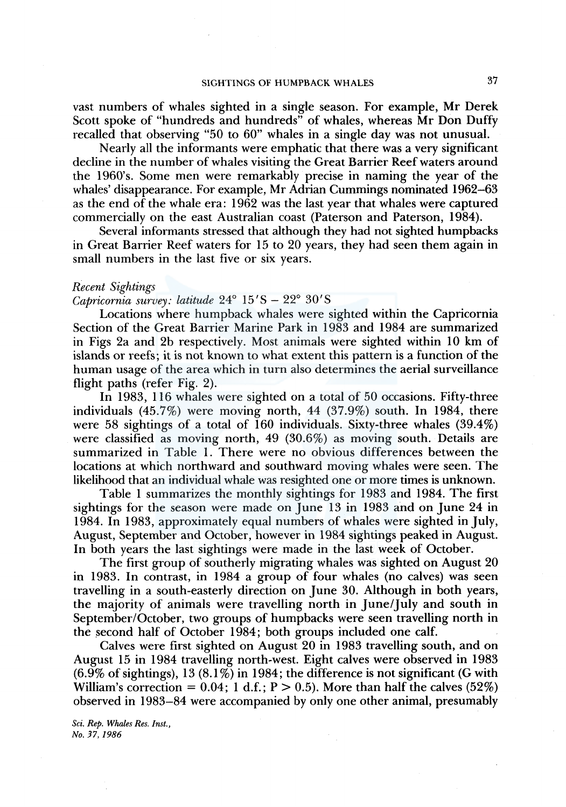vast numbers of whales sighted in a single season. For example, Mr Derek Scott spoke of "hundreds and hundreds" of whales, whereas Mr Don Duffy recalled that observing "50 to 60" whales in a single day was not unusual.

Nearly all the informants were emphatic that there was a very significant decline in the number of whales visiting the Great Barrier Reef waters around the 1960's. Some men were remarkably precise in naming the year of the whales' disappearance. For example, Mr Adrian Cummings nominated 1962-63 as the end of the whale era: 1962 was the last year that whales were captured commercially on the east Australian coast (Paterson and Paterson, 1984).

Several informants stressed that although they had not sighted humpbacks in Great Barrier Reef waters for 15 to 20 years, they had seen them again in small numbers in the last five or six years.

#### *Recent Sightings*

*Capricornia survey: latitude* 24° 15'S - 22° 30'S

Locations where humpback whales were sighted within the Capricornia Section of the Great Barrier Marine Park in 1983 and 1984 are summarized in Figs 2a and 2b respectively. Most animals were sighted within 10 km of islands or reefs; it is not known to what extent this pattern is a function of the human usage of the area which in turn also determines the aerial surveillance flight paths (refer Fig. 2).

In 1983, 116 whales were sighted on a total of 50 occasions. Fifty-three individuals (45.7%) were moving north, 44 (37.9%) south. In 1984, there were 58 sightings of a total of 160 individuals. Sixty-three whales (39.4%) were classified as moving north, 49 (30.6%) as moving south. Details are summarized in Table 1. There were no obvious differences between the locations at which northward and southward moving whales were seen. The likelihood that an individual whale was resighted one or more times is unknown.

Table 1 summarizes the monthly sightings for 1983 and 1984. The first sightings for the season were made on June 13 in 1983 and on June 24 in 1984. In 1983, approximately equal numbers of whales were sighted in July, August, September and October, however in 1984 sightings peaked in August. In both years the last sightings were made in the last week of October.

The first group of southerly migrating whales was sighted on August 20 in 1983. In contrast, in 1984 a group of four whales (no calves) was seen travelling in a south-easterly direction on June 30. Although in both years, the majority of animals were travelling north in June/July and south in September/October, two groups of humpbacks were seen travelling north in the second half of October 1984; both groups included one calf.

Calves were first sighted on August 20 in 1983 travelling south, and on August 15 in 1984 travelling north-west. Eight calves were observed in 1983  $(6.9\%$  of sightings), 13  $(8.1\%)$  in 1984; the difference is not significant (G with William's correction =  $0.04$ ; 1 d.f.; P  $> 0.5$ ). More than half the calves (52%) observed in 1983-84 were accompanied by only one other animal, presumably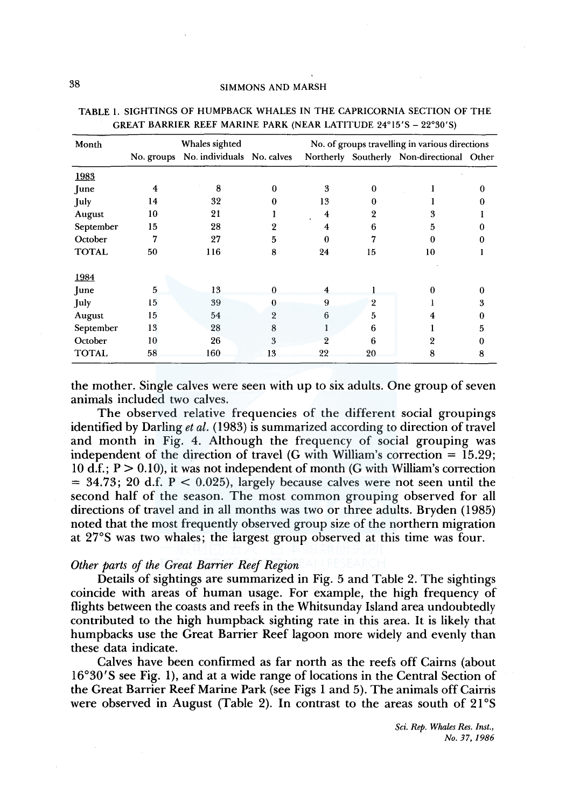## 38 SIMMONS AND MARSH

| Month        |    | Whales sighted                        |          | No. of groups travelling in various directions |          |                                           |   |
|--------------|----|---------------------------------------|----------|------------------------------------------------|----------|-------------------------------------------|---|
|              |    | No. groups No. individuals No. calves |          |                                                |          | Northerly Southerly Non-directional Other |   |
| 1983         |    |                                       |          |                                                |          |                                           |   |
| June         | 4  | 8                                     | $\bf{0}$ | 3                                              | $\Omega$ |                                           |   |
| July         | 14 | 32                                    | 0        | 13                                             | 0        |                                           |   |
| August       | 10 | 21                                    |          | 4                                              | 2        | 3                                         |   |
| September    | 15 | 28                                    |          | 4                                              | 6        | 5                                         |   |
| October      | 7  | 27                                    | 5        | $\mathbf{0}$                                   |          | 0                                         |   |
| <b>TOTAL</b> | 50 | 116                                   | 8        | 24                                             | 15       | 10                                        |   |
| 1984         |    |                                       |          |                                                |          |                                           |   |
| June         | 5  | 13                                    | $\Omega$ | $\overline{4}$                                 |          |                                           |   |
| July         | 15 | 39                                    | o        | 9                                              | 2        |                                           |   |
| August       | 15 | 54                                    | 2        | 6                                              | 5        |                                           |   |
| September    | 13 | 28                                    | 8        |                                                | 6        |                                           | 5 |
| October      | 10 | 26                                    | 3        | $\overline{2}$                                 | 6        | 2                                         |   |
| <b>TOTAL</b> | 58 | 160                                   | 13       | 22                                             | 20       | 8                                         | 8 |

TABLE l. SIGHTINGS OF HUMPBACK WHALES IN THE CAPRICORNIA SECTION OF THE GREAT BARRIER REEF MARINE PARK (NEAR LATITUDE 24°15'S - 22°30'S)

the mother. Single calves were seen with up to six adults. One group of seven animals included two calves.

The observed relative frequencies of the different social groupings identified by Darling *et al.* ( 1983) is summarized according to direction of travel and month in Fig. 4. Although the frequency of social grouping was independent of the direction of travel (G with William's correction  $= 15.29$ ; 10 d.f.;  $P > 0.10$ ), it was not independent of month (G with William's correction  $= 34.73$ ; 20 d.f.  $P < 0.025$ ), largely because calves were not seen until the second half of the season. The most common grouping observed for all directions of travel and in all months was two or three adults. Bryden ( 1985) noted that the most frequently observed group size of the northern migration at 27°S was two whales; the largest group observed at this time was four.

## *Other parts of the Great Barrier Reef Region*

Details of sightings are summarized in Fig. 5 and Table 2. The sightings coincide with areas of human usage. For example, the high frequency of flights between the coasts and reefs in the Whitsunday Island area undoubtedly contributed to the high humpback sighting rate in this area. It is likely that humpbacks use the Great Barrier Reef lagoon more widely and evenly than these data indicate.

Calves have been confirmed as far north as the reefs off Cairns (about 16°30'S see Fig. 1), and at a wide range of locations in the Central Section of the Great Barrier Reef Marine Park (see Figs 1 and 5). The animals off Cairris were observed in August (Table 2). In contrast to the areas south of 21°S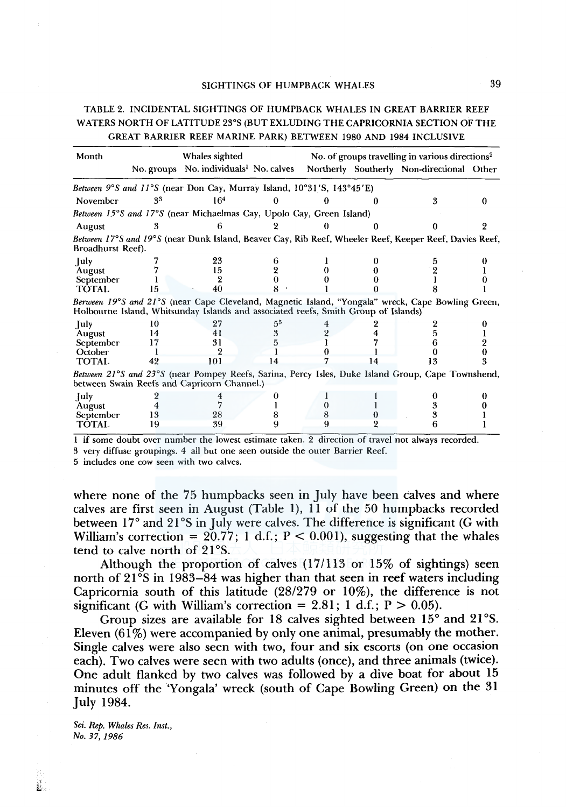## TABLE 2. INCIDENTAL SIGHTINGS OF HUMPBACK WHALES IN GREAT BARRIER REEF WATERS NORTH OF LATITUDE 23°S (BUT EXLUDING THE CAPRICORNIA SECTION OF THE GREAT BARRIER REEF MARINE PARK) BETWEEN 1980 AND 1984 INCLUSIVE

| Month             | Whales sighted |                                                                                         |    | No. of groups travelling in various directions <sup>2</sup> |    |                                                                                                        |  |
|-------------------|----------------|-----------------------------------------------------------------------------------------|----|-------------------------------------------------------------|----|--------------------------------------------------------------------------------------------------------|--|
|                   |                | No. groups No. individuals <sup>1</sup> No. calves                                      |    |                                                             |    | Northerly Southerly Non-directional Other                                                              |  |
|                   |                | Between $9^{\circ}S$ and $11^{\circ}S$ (near Don Cay, Murray Island, 10°31′S, 143°45′E) |    |                                                             |    |                                                                                                        |  |
| November          | 33             | 164                                                                                     |    |                                                             |    |                                                                                                        |  |
|                   |                | Between 15°S and 17°S (near Michaelmas Cay, Upolo Cay, Green Island)                    |    |                                                             |    |                                                                                                        |  |
| August            |                |                                                                                         |    |                                                             |    |                                                                                                        |  |
| Broadhurst Reef). |                |                                                                                         |    |                                                             |    | Between 17°S and 19°S (near Dunk Island, Beaver Cay, Rib Reef, Wheeler Reef, Keeper Reef, Davies Reef, |  |
| July              |                | 23                                                                                      |    |                                                             |    |                                                                                                        |  |
| August            |                | 15                                                                                      |    |                                                             |    |                                                                                                        |  |
| September         |                |                                                                                         |    |                                                             |    |                                                                                                        |  |
| <b>TOTAL</b>      |                |                                                                                         |    |                                                             |    |                                                                                                        |  |
|                   |                | Holbourne Island, Whitsunday Islands and associated reefs, Smith Group of Islands)      |    |                                                             |    | Berween 19°S and 21°S (near Cape Cleveland, Magnetic Island, "Yongala" wreck, Cape Bowling Green,      |  |
| July              | 10             | 27                                                                                      |    |                                                             |    |                                                                                                        |  |
| August            | 14             | 41                                                                                      |    |                                                             |    |                                                                                                        |  |
| September         |                | 31                                                                                      |    |                                                             |    |                                                                                                        |  |
| October           |                |                                                                                         |    |                                                             |    |                                                                                                        |  |
| <b>TOTAL</b>      | 42             | 101                                                                                     | 14 |                                                             | 14 |                                                                                                        |  |
|                   |                | between Swain Reefs and Capricorn Channel.)                                             |    |                                                             |    | Between 21°S and 23°S (near Pompey Reefs, Sarina, Percy Isles, Duke Island Group, Cape Townshend,      |  |
| July              |                |                                                                                         |    |                                                             |    |                                                                                                        |  |
| August            |                |                                                                                         |    |                                                             |    |                                                                                                        |  |
| September         | 13             | 28                                                                                      |    |                                                             |    |                                                                                                        |  |
| <b>TOTAL</b>      | 19             | 39                                                                                      |    |                                                             |    |                                                                                                        |  |
| $\cdot$           |                |                                                                                         |    |                                                             |    |                                                                                                        |  |

1 if some doubt over number the lowest estimate taken. 2 direction of travel not always recorded.

3 very diffuse groupings. 4 all but one seen outside the outer Barrier Reef.

5 includes one cow seen with two calves.

where none of the 75 humpbacks seen in July have been calves and where calves are first seen in August (Table 1), 11 of the 50 humpbacks recorded between 17° and 21°S in July were calves. The difference is significant (G with William's correction =  $20.77$ ; 1 d.f.; P < 0.001), suggesting that the whales tend to calve north of 21°S.

Although the proportion of calves (17/113 or 15% of sightings) seen north of 21<sup>°</sup>S in 1983–84 was higher than that seen in reef waters including Capricornia south of this latitude (28/279 or 10%), the difference is not significant (G with William's correction =  $2.81$ ; 1 d.f.; P  $> 0.05$ ).

Group sizes are available for 18 calves sighted between 15° and 21°S. Eleven  $(61\%)$  were accompanied by only one animal, presumably the mother. Single calves were also seen with two, four and six escorts (on one occasion each). Two calves were seen with two adults (once), and three animals (twice). One adult flanked by two calves was followed by a dive boat for about 15 minutes off the 'Yongala' wreck (south of Cape Bowling Green) on the 31 July 1984.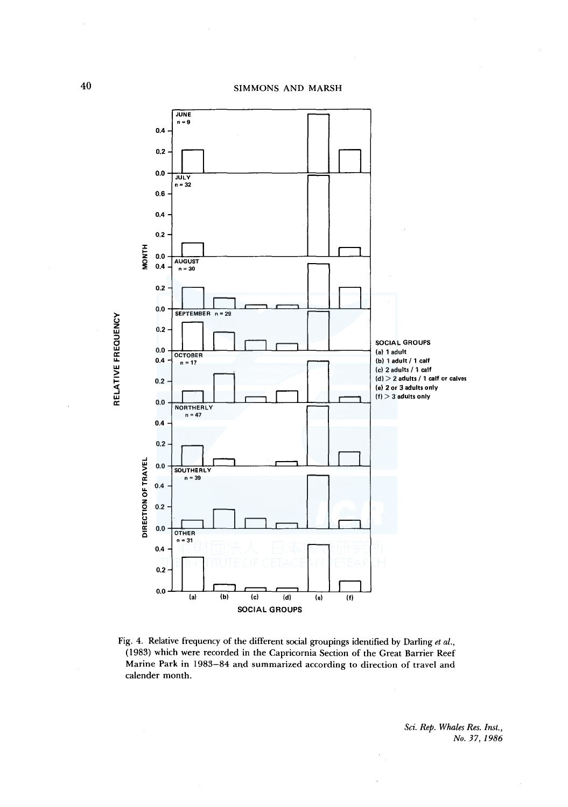

Fig. 4. Relative frequency of the different social groupings identified by Darling *et al.,*  (1983) which were recorded in the Capricornia Section of the Great Barrier Reef Marine Park in 1983-84 and summarized according to direction of travel and calender month.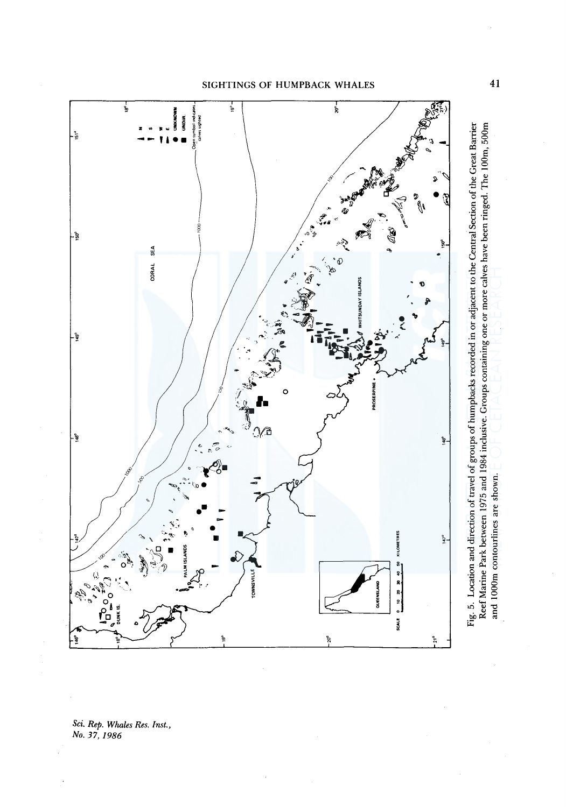



ci. Rep. Whales Res. Inst.<br><sup>1</sup>o. 37, 1986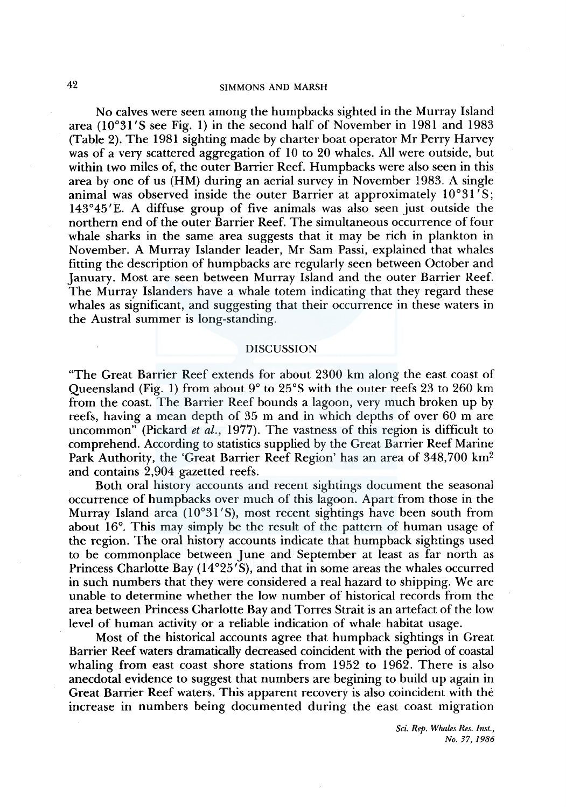## 42 SIMMONS AND MARSH

No calves were seen among the humpbacks sighted in the Murray Island area (10°31 'S see Fig. 1) in the second half of November in 1981 and 1983 (Table 2). The 1981 sighting made by charter boat operator Mr Perry Harvey was of a very scattered aggregation of 10 to 20 whales. All were outside, but within two miles of, the outer Barrier Reef. Humpbacks were also seen in this area by one of us (HM) during an aerial survey in November 1983. A single animal was observed inside the outer Barrier at approximately 10°31 'S; 143°45'E. A diffuse group of five animals was also seen just outside the northern end of the outer Barrier Reef. The simultaneous occurrence of four whale sharks in the same area suggests that it may be rich in plankton in November. A Murray Islander leader, Mr Sam Passi, explained that whales fitting the description of humpbacks are regularly seen between October and January. Most are seen between Murray Island and the outer Barrier Reef. The Murray Islanders have a whale totem indicating that they regard these whales as significant, and suggesting that their occurrence in these waters in the Austral summer is long-standing.

#### DISCUSSION

"The Great Barrier Reef extends for about 2300 km along the east coast of Queensland (Fig. 1) from about 9° to 25°S with the outer reefs 23 to 260 km from the coast. The Barrier Reef bounds a lagoon, very much broken up by reefs, having a mean depth of 35 m and in which depths of over 60 m are uncommon" (Pickard *et al.,* 1977). The vastness of this region is difficult to comprehend. According to statistics supplied by the Great Barrier Reef Marine Park Authority, the 'Great Barrier Reef Region' has an area of 348,700 km2 and contains 2,904 gazetted reefs.

Both oral history accounts and recent sightings document the seasonal occurrence of humpbacks over much of this lagoon. Apart from those in the Murray Island area (10°31'S), most recent sightings have been south from about 16°. This may simply be the result of the pattern of human usage of the region. The oral history accounts indicate that humpback sightings used to be commonplace between June and September at least as far north as Princess Charlotte Bay  $(14^{\circ}25'S)$ , and that in some areas the whales occurred in such numbers that they were considered a real hazard to shipping. We are unable to determine whether the low number of historical records from the area between Princess Charlotte Bay and Torres Strait is an artefact of the low level of human activity or a reliable indication of whale habitat usage.

Most of the historical accounts agree that humpback sightings in Great Barrier Reef waters dramatically decreased coincident with the period of coastal whaling from east coast shore stations from 1952 to 1962. There is also anecdotal evidence to suggest that numbers are begining to build up again in Great Barrier Reef waters. This apparent recovery is also coincident with the increase in numbers being documented during the east coast migration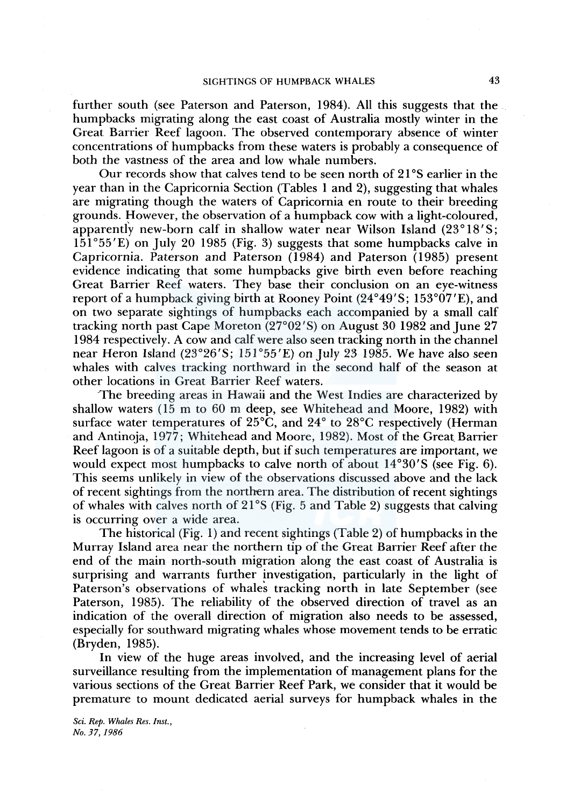further south (see Paterson and Paterson, 1984). All this suggests that the humpbacks migrating along the east coast of Australia mostly winter in the Great Barrier Reef lagoon. The observed contemporary absence of winter concentrations of humpbacks from these waters is probably a consequence of both the vastness of the area and low whale numbers.

Our records show that calves tend to be seen north of  $21^{\circ}$ S earlier in the year than in the Capricornia Section (Tables 1 and 2), suggesting that whales are migrating though the waters of Capricornia en route to their breeding grounds. However, the observation of a humpback cow with a light-coloured, apparently new-born calf in shallow water near Wilson Island  $(23^{\circ}18'S;$ 151° 55 'E) on July 20 1985 (Fig. 3) suggests that some humpbacks calve in Capricornia. Paterson and Paterson (1984) and Paterson (1985) present evidence indicating that some humpbacks give birth even before reaching Great Barrier Reef waters. They base their conclusion on an eye-witness report of a humpback giving birth at Rooney Point  $(24^{\circ}49'S; 153^{\circ}07'E)$ , and on two separate sightings of humpbacks each accompanied by a small calf tracking north past Cape Moreton (27°02 'S) on August 30 1982 and June 27 1984 respectively. A cow and calf were also seen tracking north in the channel near Heron Island (23°26'S; 151°55'E) on July 23 1985. We have also seen whales with calves tracking northward in the second half of the season at other locations in Great Barrier Reef waters.

The breeding areas in Hawaii and the West Indies are characterized by shallow waters (15 m to 60 m deep, see Whitehead and Moore, 1982) with surface water temperatures of 25°C, and 24° to 28°C respectively (Herman and Antinoja, 1977; Whitehead and Moore, 1982). Most of the Great Barrier Reef lagoon is of a suitable depth, but if such temperatures are important, we would expect most humpbacks to calve north of about l4°30'S (see Fig. 6). This seems unlikely in view of the observations discussed above and the lack of recent sightings from the northern area. The distribution of recent sightings of whales with calves north of 21°S (Fig. 5 and Table 2) suggests that calving is occurring over a wide area.

The historical (Fig. 1) and recent sightings (Table 2) of humpbacks in the Murray Island area near the northern tip of the Great Barrier Reef after the end of the main north-south migration along the east coast of Australia is surprising and warrants further investigation, particularly in the light of Paterson's observations of whales tracking north in late September (see Paterson, 1985). The reliability of the observed direction of travel as an indication of the overall direction of migration also needs to be assessed, especially for southward migrating whales whose movement tends to be erratic (Bryden, 1985).

In view of the huge areas involved, and the increasing level of aerial surveillance resulting from the implementation of management plans for the various sections of the Great Barrier Reef Park, we consider that it would be premature to mount dedicated aerial surveys for humpback whales in the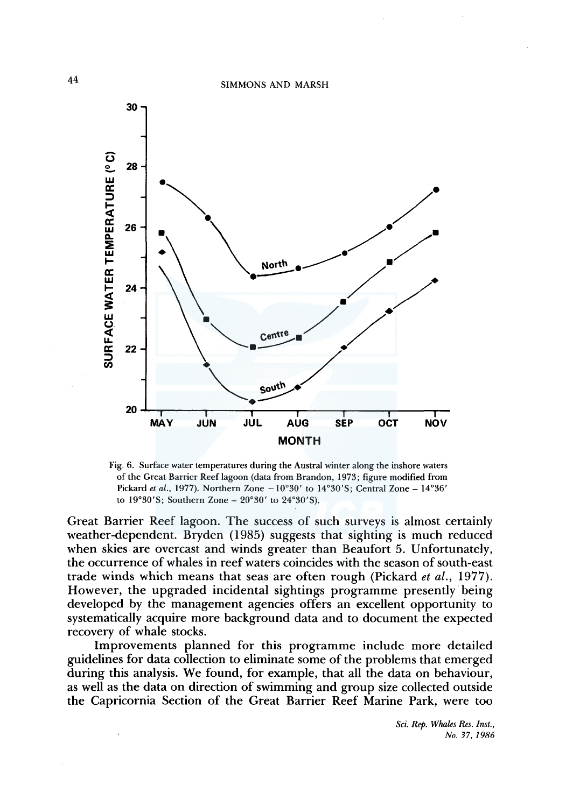

Fig. 6. Surface water temperatures during the Austral winter along the inshore waters of the Great Barrier Reef lagoon (data from Brandon, 1973; figure modified from Pickard *et al.,* 1977). Northern Zone -10°30' to 14°30'S; Central Zone - 14°36' to  $19°30'S$ ; Southern Zone -  $20°30'$  to  $24°30'S$ ).

Great Barrier Reef lagoon. The success of such surveys is almost certainly weather-dependent. Bryden (1985) suggests that sighting is much reduced when skies are overcast and winds greater than Beaufort 5. Unfortunately, the occurrence of whales in reef waters coincides with the season of south-east trade winds which means that seas are often rough (Pickard *et al.,* 1977). However, the upgraded incidental sightings programme presently· being developed by the management agencies offers an excellent opportunity to systematically acquire more background data and to document the expected recovery of whale stocks.

Improvements planned for this programme include more detailed guidelines for data collection to eliminate some of the problems that emerged during this analysis. We found, for example, that all the data on behaviour, as well as the data on direction of swimming and group size collected outside the Capricornia Section of the Great Barrier Reef Marine Park, were too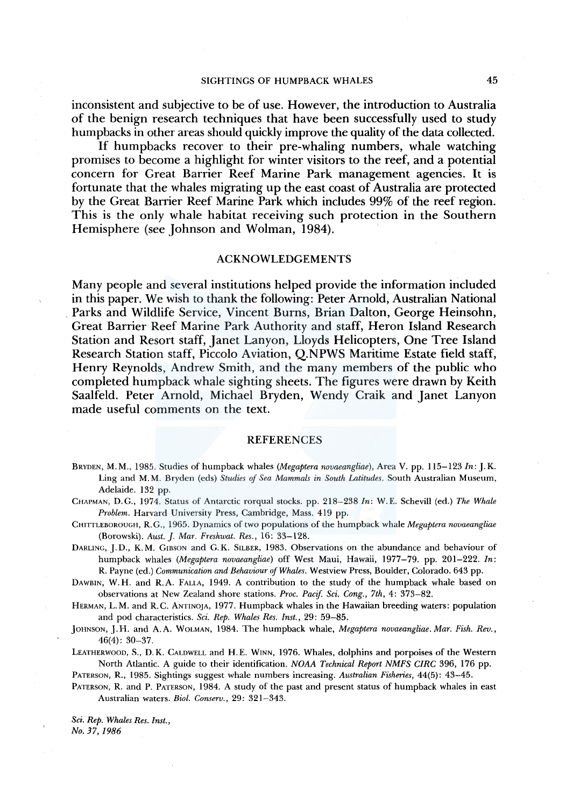inconsistent and subjective to be of use. However, the introduction to Australia of the benign research techniques that have been successfully used to study humpbacks in other areas should quickly improve the quality of the data collected.

If humpbacks recover to their pre-whaling numbers, whale watching promises to become a highlight for winter visitors to the reef, and a potential concern for Great Barrier Reef Marine Park management agencies. It is fortunate that the whales migrating up the east coast of Australia are protected by the Great Barrier Reef Marine Park which includes 99% of the reef region. This is the only whale habitat receiving such protection in the Southern Hemisphere (see Johnson and Wolman, 1984).

#### ACKNOWLEDGEMENTS

Many people and several institutions helped provide the information included in this paper. We wish to thank the following: Peter Arnold, Australian National . Parks and Wildlife Service, Vincent Burns, Brian Dalton, George Heinsohn, Great Barrier Reef Marine Park Authority and staff, Heron Island Research Station and Resort staff, Janet Lanyon, Lloyds Helicopters, One Tree Island Research Station staff, Piccolo Aviation, Q.NPWS Maritime Estate field staff, Henry Reynolds, Andrew Smith, and the many members of the public who completed humpback whale sighting sheets. The figures were drawn by Keith Saalfeld. Peter Arnold, Michael Bryden, Wendy Craik and Janet Lanyon made useful comments on the text.

#### REFERENCES

- BRYDEN, M. M., 1985. Studies of humpback whales *(Megaptera novaeangliae),* Area V. pp. 115-123 *In:* J. K. Ling and M.M. Bryden (eds) *Studies of Sea Mammals in South Latitudes.* South Australian Museum, Adelaide. 132 pp.
- CHAPMAN, D.G., 1974. Status of Antarctic rorqual stocks. pp. 218-238 *In:* W.E. Schevill (ed.) *The Whale Problem.* Harvard University Press, Cambridge, Mass. 419 pp.
- CHITTLEBOROUGH, R. G., 1965. Dynamics of two populations of the humpback whale *Megaptera novaeangliae*  (Borowski). *Aust.]. Mar. Freshwat. Res.,* 16: 33-128.
- DARLING, J.D., K.M. GIBSON and G.K. SILBER, 1983. Observations on the abundance and behaviour of humpback whales *(Megaptera novaeangliae)* off West Maui, Hawaii, 1977-79. pp. 201-222. *In:*  R. Payne (ed.) *Communication and Behaviour of Whales.* Westview Press, Boulder, Colorado. 643 pp.
- DAWBIN, W.H. and R.A. FALLA, 1949. A contribution to the study of the humpback whale based on observations at New Zealand shore stations. *Proc. Pacif. Sci. Cong., 7th,* 4: 373-82.

HERMAN, L.M. and R.C. ANTINOJA, 1977. Humpback whales in the Hawaiian breeding waters: population and pod characteristics. *Sci. Rep. Whales Res. Inst.,* 29: 59-85.

- JOHNSON, J.H. and A.A. WOLMAN, 1984. The humpback whale, *Megaptera novaeangliae. Mar. Fish. Rev.,*  46(4): 30-37.
- LEATHERWOOD, S., D. K. CALDWELL and H. E. WINN, 1976. Whales, dolphins and porpoises of the Western North Atlantic. A guide to their identification. *NOAA Technical Report NMFS CIRC* 396, 176 pp.

PATERSON, R., 1985. Sightings suggest whale numbers increasing. *Australian Fisheries,* 44(5): 43-45.

PATERSON, R. and P. PATERSON, 1984. A study of the past and present status of humpback whales in east Australian waters. *Biol. Conserv.,* 29: 321-343.